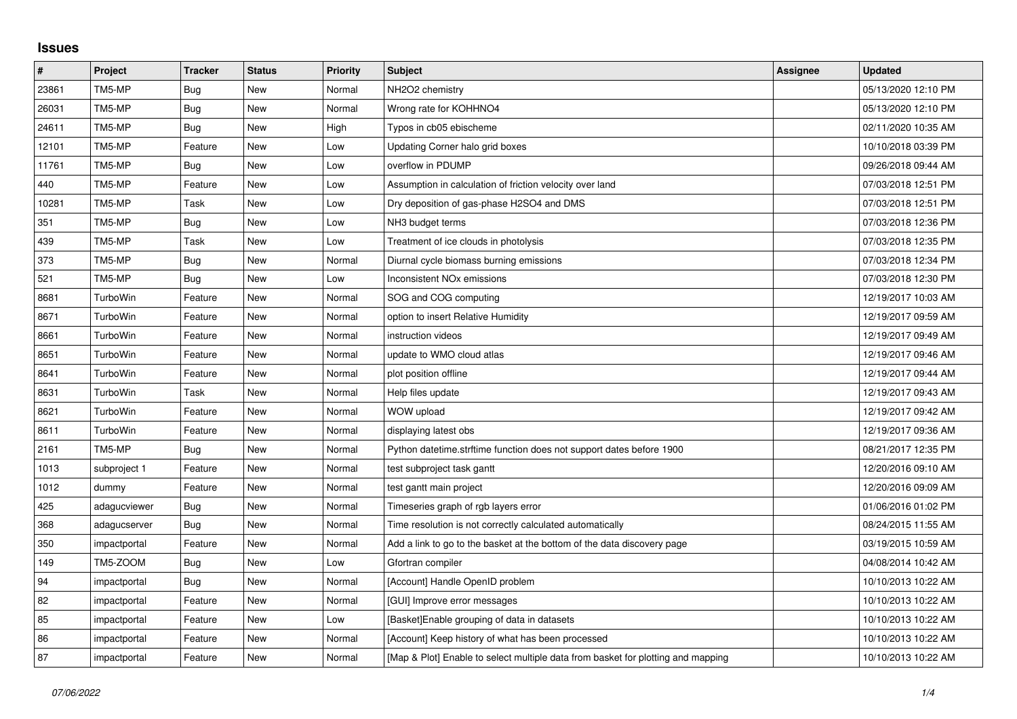## **Issues**

| $\pmb{\#}$ | Project         | <b>Tracker</b> | <b>Status</b> | <b>Priority</b> | <b>Subject</b>                                                                   | Assignee | <b>Updated</b>      |
|------------|-----------------|----------------|---------------|-----------------|----------------------------------------------------------------------------------|----------|---------------------|
| 23861      | TM5-MP          | <b>Bug</b>     | New           | Normal          | NH2O2 chemistry                                                                  |          | 05/13/2020 12:10 PM |
| 26031      | TM5-MP          | <b>Bug</b>     | New           | Normal          | Wrong rate for KOHHNO4                                                           |          | 05/13/2020 12:10 PM |
| 24611      | TM5-MP          | Bug            | New           | High            | Typos in cb05 ebischeme                                                          |          | 02/11/2020 10:35 AM |
| 12101      | TM5-MP          | Feature        | New           | Low             | Updating Corner halo grid boxes                                                  |          | 10/10/2018 03:39 PM |
| 11761      | TM5-MP          | Bug            | New           | Low             | overflow in PDUMP                                                                |          | 09/26/2018 09:44 AM |
| 440        | TM5-MP          | Feature        | New           | Low             | Assumption in calculation of friction velocity over land                         |          | 07/03/2018 12:51 PM |
| 10281      | TM5-MP          | Task           | <b>New</b>    | Low             | Dry deposition of gas-phase H2SO4 and DMS                                        |          | 07/03/2018 12:51 PM |
| 351        | TM5-MP          | Bug            | New           | Low             | NH3 budget terms                                                                 |          | 07/03/2018 12:36 PM |
| 439        | TM5-MP          | Task           | New           | Low             | Treatment of ice clouds in photolysis                                            |          | 07/03/2018 12:35 PM |
| 373        | TM5-MP          | <b>Bug</b>     | New           | Normal          | Diurnal cycle biomass burning emissions                                          |          | 07/03/2018 12:34 PM |
| 521        | TM5-MP          | Bug            | New           | Low             | Inconsistent NO <sub>x</sub> emissions                                           |          | 07/03/2018 12:30 PM |
| 8681       | TurboWin        | Feature        | New           | Normal          | SOG and COG computing                                                            |          | 12/19/2017 10:03 AM |
| 8671       | TurboWin        | Feature        | New           | Normal          | option to insert Relative Humidity                                               |          | 12/19/2017 09:59 AM |
| 8661       | TurboWin        | Feature        | New           | Normal          | instruction videos                                                               |          | 12/19/2017 09:49 AM |
| 8651       | TurboWin        | Feature        | New           | Normal          | update to WMO cloud atlas                                                        |          | 12/19/2017 09:46 AM |
| 8641       | <b>TurboWin</b> | Feature        | New           | Normal          | plot position offline                                                            |          | 12/19/2017 09:44 AM |
| 8631       | TurboWin        | Task           | New           | Normal          | Help files update                                                                |          | 12/19/2017 09:43 AM |
| 8621       | TurboWin        | Feature        | New           | Normal          | WOW upload                                                                       |          | 12/19/2017 09:42 AM |
| 8611       | TurboWin        | Feature        | <b>New</b>    | Normal          | displaying latest obs                                                            |          | 12/19/2017 09:36 AM |
| 2161       | TM5-MP          | Bug            | New           | Normal          | Python datetime.strftime function does not support dates before 1900             |          | 08/21/2017 12:35 PM |
| 1013       | subproject 1    | Feature        | New           | Normal          | test subproject task gantt                                                       |          | 12/20/2016 09:10 AM |
| 1012       | dummy           | Feature        | New           | Normal          | test gantt main project                                                          |          | 12/20/2016 09:09 AM |
| 425        | adagucviewer    | Bug            | New           | Normal          | Timeseries graph of rgb layers error                                             |          | 01/06/2016 01:02 PM |
| 368        | adagucserver    | Bug            | <b>New</b>    | Normal          | Time resolution is not correctly calculated automatically                        |          | 08/24/2015 11:55 AM |
| 350        | impactportal    | Feature        | New           | Normal          | Add a link to go to the basket at the bottom of the data discovery page          |          | 03/19/2015 10:59 AM |
| 149        | TM5-ZOOM        | Bug            | New           | Low             | Gfortran compiler                                                                |          | 04/08/2014 10:42 AM |
| 94         | impactportal    | Bug            | New           | Normal          | [Account] Handle OpenID problem                                                  |          | 10/10/2013 10:22 AM |
| 82         | impactportal    | Feature        | New           | Normal          | [GUI] Improve error messages                                                     |          | 10/10/2013 10:22 AM |
| 85         | impactportal    | Feature        | New           | Low             | [Basket] Enable grouping of data in datasets                                     |          | 10/10/2013 10:22 AM |
| 86         | impactportal    | Feature        | New           | Normal          | [Account] Keep history of what has been processed                                |          | 10/10/2013 10:22 AM |
| 87         | impactportal    | Feature        | New           | Normal          | [Map & Plot] Enable to select multiple data from basket for plotting and mapping |          | 10/10/2013 10:22 AM |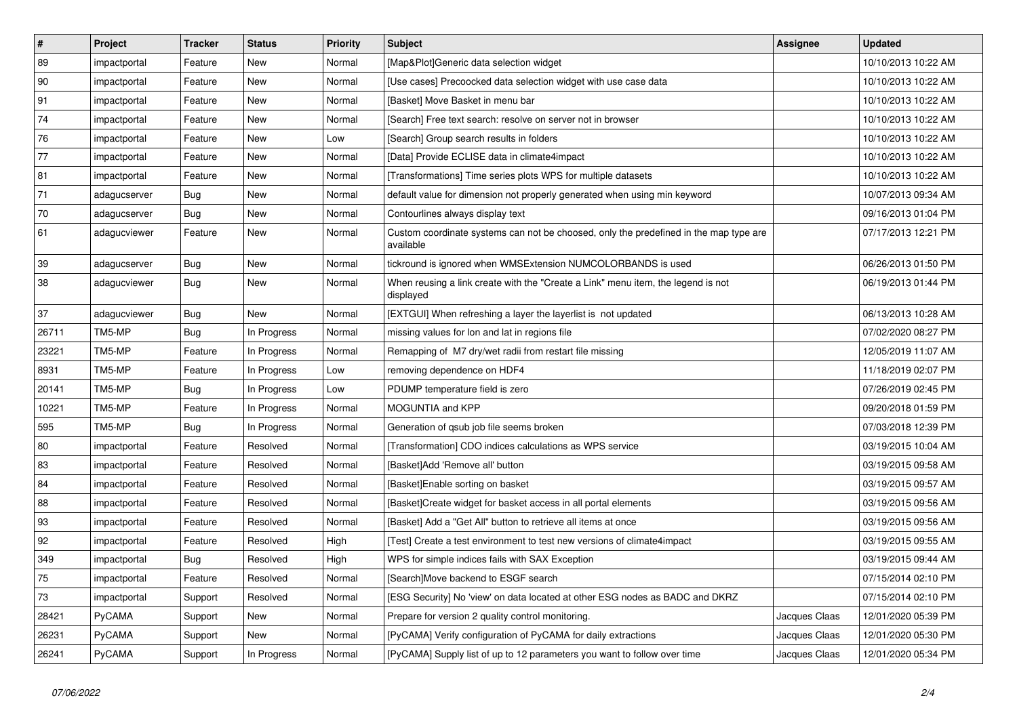| $\vert$ # | Project      | <b>Tracker</b> | <b>Status</b> | <b>Priority</b> | <b>Subject</b>                                                                                     | <b>Assignee</b> | <b>Updated</b>      |
|-----------|--------------|----------------|---------------|-----------------|----------------------------------------------------------------------------------------------------|-----------------|---------------------|
| 89        | impactportal | Feature        | New           | Normal          | [Map&Plot]Generic data selection widget                                                            |                 | 10/10/2013 10:22 AM |
| 90        | impactportal | Feature        | New           | Normal          | [Use cases] Precoocked data selection widget with use case data                                    |                 | 10/10/2013 10:22 AM |
| 91        | impactportal | Feature        | New           | Normal          | [Basket] Move Basket in menu bar                                                                   |                 | 10/10/2013 10:22 AM |
| 74        | impactportal | Feature        | New           | Normal          | [Search] Free text search: resolve on server not in browser                                        |                 | 10/10/2013 10:22 AM |
| 76        | impactportal | Feature        | <b>New</b>    | Low             | [Search] Group search results in folders                                                           |                 | 10/10/2013 10:22 AM |
| 77        | impactportal | Feature        | New           | Normal          | [Data] Provide ECLISE data in climate4impact                                                       |                 | 10/10/2013 10:22 AM |
| 81        | impactportal | Feature        | New           | Normal          | [Transformations] Time series plots WPS for multiple datasets                                      |                 | 10/10/2013 10:22 AM |
| 71        | adagucserver | Bug            | New           | Normal          | default value for dimension not properly generated when using min keyword                          |                 | 10/07/2013 09:34 AM |
| 70        | adagucserver | Bug            | New           | Normal          | Contourlines always display text                                                                   |                 | 09/16/2013 01:04 PM |
| 61        | adagucviewer | Feature        | New           | Normal          | Custom coordinate systems can not be choosed, only the predefined in the map type are<br>available |                 | 07/17/2013 12:21 PM |
| 39        | adagucserver | <b>Bug</b>     | <b>New</b>    | Normal          | tickround is ignored when WMSExtension NUMCOLORBANDS is used                                       |                 | 06/26/2013 01:50 PM |
| 38        | adagucviewer | <b>Bug</b>     | New           | Normal          | When reusing a link create with the "Create a Link" menu item, the legend is not<br>displayed      |                 | 06/19/2013 01:44 PM |
| 37        | adagucviewer | <b>Bug</b>     | <b>New</b>    | Normal          | [EXTGUI] When refreshing a layer the layerlist is not updated                                      |                 | 06/13/2013 10:28 AM |
| 26711     | TM5-MP       | <b>Bug</b>     | In Progress   | Normal          | missing values for lon and lat in regions file                                                     |                 | 07/02/2020 08:27 PM |
| 23221     | TM5-MP       | Feature        | In Progress   | Normal          | Remapping of M7 dry/wet radii from restart file missing                                            |                 | 12/05/2019 11:07 AM |
| 8931      | TM5-MP       | Feature        | In Progress   | Low             | removing dependence on HDF4                                                                        |                 | 11/18/2019 02:07 PM |
| 20141     | TM5-MP       | Bug            | In Progress   | Low             | PDUMP temperature field is zero                                                                    |                 | 07/26/2019 02:45 PM |
| 10221     | TM5-MP       | Feature        | In Progress   | Normal          | MOGUNTIA and KPP                                                                                   |                 | 09/20/2018 01:59 PM |
| 595       | TM5-MP       | <b>Bug</b>     | In Progress   | Normal          | Generation of gsub job file seems broken                                                           |                 | 07/03/2018 12:39 PM |
| 80        | impactportal | Feature        | Resolved      | Normal          | [Transformation] CDO indices calculations as WPS service                                           |                 | 03/19/2015 10:04 AM |
| 83        | impactportal | Feature        | Resolved      | Normal          | [Basket]Add 'Remove all' button                                                                    |                 | 03/19/2015 09:58 AM |
| 84        | impactportal | Feature        | Resolved      | Normal          | [Basket]Enable sorting on basket                                                                   |                 | 03/19/2015 09:57 AM |
| 88        | impactportal | Feature        | Resolved      | Normal          | [Basket]Create widget for basket access in all portal elements                                     |                 | 03/19/2015 09:56 AM |
| 93        | impactportal | Feature        | Resolved      | Normal          | [Basket] Add a "Get All" button to retrieve all items at once                                      |                 | 03/19/2015 09:56 AM |
| 92        | impactportal | Feature        | Resolved      | High            | [Test] Create a test environment to test new versions of climate4impact                            |                 | 03/19/2015 09:55 AM |
| 349       | impactportal | <b>Bug</b>     | Resolved      | High            | WPS for simple indices fails with SAX Exception                                                    |                 | 03/19/2015 09:44 AM |
| 75        | impactportal | Feature        | Resolved      | Normal          | [Search]Move backend to ESGF search                                                                |                 | 07/15/2014 02:10 PM |
| 73        | impactportal | Support        | Resolved      | Normal          | [ESG Security] No 'view' on data located at other ESG nodes as BADC and DKRZ                       |                 | 07/15/2014 02:10 PM |
| 28421     | PyCAMA       | Support        | <b>New</b>    | Normal          | Prepare for version 2 quality control monitoring.                                                  | Jacques Claas   | 12/01/2020 05:39 PM |
| 26231     | PyCAMA       | Support        | New           | Normal          | [PyCAMA] Verify configuration of PyCAMA for daily extractions                                      | Jacques Claas   | 12/01/2020 05:30 PM |
| 26241     | PyCAMA       | Support        | In Progress   | Normal          | [PyCAMA] Supply list of up to 12 parameters you want to follow over time                           | Jacques Claas   | 12/01/2020 05:34 PM |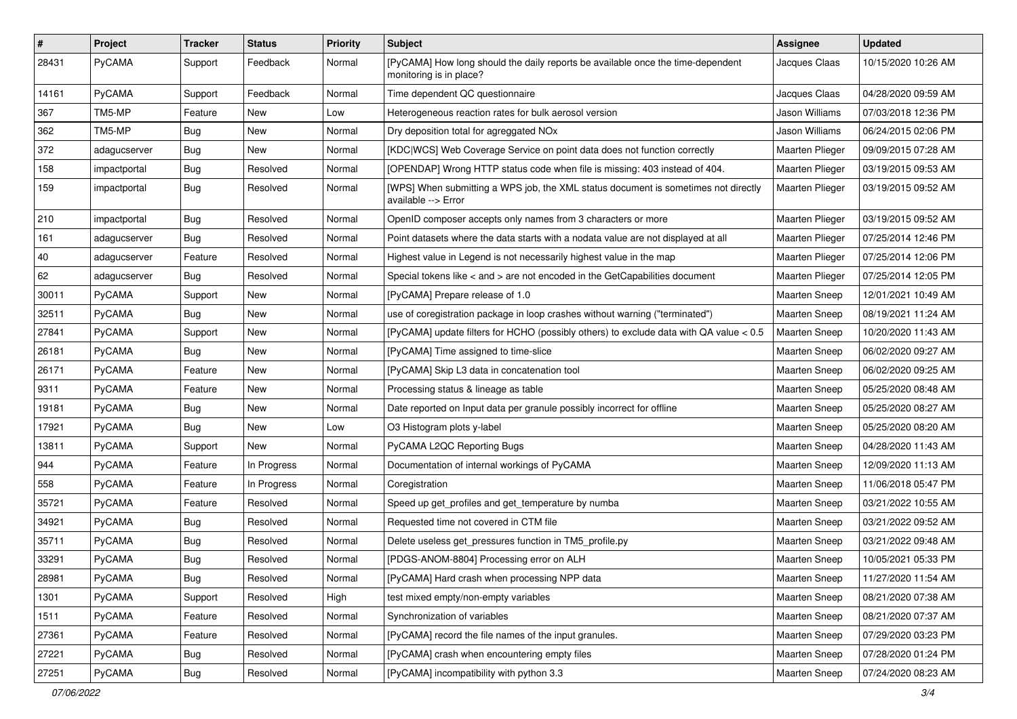| $\pmb{\#}$ | Project      | Tracker    | <b>Status</b> | <b>Priority</b> | <b>Subject</b>                                                                                             | Assignee               | <b>Updated</b>      |
|------------|--------------|------------|---------------|-----------------|------------------------------------------------------------------------------------------------------------|------------------------|---------------------|
| 28431      | PyCAMA       | Support    | Feedback      | Normal          | [PyCAMA] How long should the daily reports be available once the time-dependent<br>monitoring is in place? | Jacques Claas          | 10/15/2020 10:26 AM |
| 14161      | PyCAMA       | Support    | Feedback      | Normal          | Time dependent QC questionnaire                                                                            | Jacques Claas          | 04/28/2020 09:59 AM |
| 367        | TM5-MP       | Feature    | New           | Low             | Heterogeneous reaction rates for bulk aerosol version                                                      | Jason Williams         | 07/03/2018 12:36 PM |
| 362        | TM5-MP       | Bug        | New           | Normal          | Dry deposition total for agreggated NOx                                                                    | Jason Williams         | 06/24/2015 02:06 PM |
| 372        | adagucserver | Bug        | New           | Normal          | [KDC WCS] Web Coverage Service on point data does not function correctly                                   | <b>Maarten Plieger</b> | 09/09/2015 07:28 AM |
| 158        | impactportal | <b>Bug</b> | Resolved      | Normal          | [OPENDAP] Wrong HTTP status code when file is missing: 403 instead of 404.                                 | Maarten Plieger        | 03/19/2015 09:53 AM |
| 159        | impactportal | <b>Bug</b> | Resolved      | Normal          | [WPS] When submitting a WPS job, the XML status document is sometimes not directly<br>available --> Error  | Maarten Plieger        | 03/19/2015 09:52 AM |
| 210        | impactportal | <b>Bug</b> | Resolved      | Normal          | OpenID composer accepts only names from 3 characters or more                                               | Maarten Plieger        | 03/19/2015 09:52 AM |
| 161        | adagucserver | <b>Bug</b> | Resolved      | Normal          | Point datasets where the data starts with a nodata value are not displayed at all                          | Maarten Plieger        | 07/25/2014 12:46 PM |
| 40         | adagucserver | Feature    | Resolved      | Normal          | Highest value in Legend is not necessarily highest value in the map                                        | Maarten Plieger        | 07/25/2014 12:06 PM |
| 62         | adagucserver | <b>Bug</b> | Resolved      | Normal          | Special tokens like < and > are not encoded in the GetCapabilities document                                | Maarten Plieger        | 07/25/2014 12:05 PM |
| 30011      | PyCAMA       | Support    | New           | Normal          | [PyCAMA] Prepare release of 1.0                                                                            | <b>Maarten Sneep</b>   | 12/01/2021 10:49 AM |
| 32511      | PyCAMA       | Bug        | <b>New</b>    | Normal          | use of coregistration package in loop crashes without warning ("terminated")                               | <b>Maarten Sneep</b>   | 08/19/2021 11:24 AM |
| 27841      | PyCAMA       | Support    | New           | Normal          | [PyCAMA] update filters for HCHO (possibly others) to exclude data with QA value < 0.5                     | <b>Maarten Sneep</b>   | 10/20/2020 11:43 AM |
| 26181      | PyCAMA       | <b>Bug</b> | <b>New</b>    | Normal          | [PyCAMA] Time assigned to time-slice                                                                       | Maarten Sneep          | 06/02/2020 09:27 AM |
| 26171      | PyCAMA       | Feature    | <b>New</b>    | Normal          | [PyCAMA] Skip L3 data in concatenation tool                                                                | Maarten Sneep          | 06/02/2020 09:25 AM |
| 9311       | PyCAMA       | Feature    | New           | Normal          | Processing status & lineage as table                                                                       | <b>Maarten Sneep</b>   | 05/25/2020 08:48 AM |
| 19181      | PyCAMA       | Bug        | <b>New</b>    | Normal          | Date reported on Input data per granule possibly incorrect for offline                                     | <b>Maarten Sneep</b>   | 05/25/2020 08:27 AM |
| 17921      | PyCAMA       | <b>Bug</b> | New           | Low             | O3 Histogram plots y-label                                                                                 | <b>Maarten Sneep</b>   | 05/25/2020 08:20 AM |
| 13811      | PyCAMA       | Support    | New           | Normal          | PyCAMA L2QC Reporting Bugs                                                                                 | <b>Maarten Sneep</b>   | 04/28/2020 11:43 AM |
| 944        | PyCAMA       | Feature    | In Progress   | Normal          | Documentation of internal workings of PyCAMA                                                               | Maarten Sneep          | 12/09/2020 11:13 AM |
| 558        | PyCAMA       | Feature    | In Progress   | Normal          | Coregistration                                                                                             | <b>Maarten Sneep</b>   | 11/06/2018 05:47 PM |
| 35721      | PyCAMA       | Feature    | Resolved      | Normal          | Speed up get_profiles and get_temperature by numba                                                         | <b>Maarten Sneep</b>   | 03/21/2022 10:55 AM |
| 34921      | PyCAMA       | <b>Bug</b> | Resolved      | Normal          | Requested time not covered in CTM file                                                                     | Maarten Sneep          | 03/21/2022 09:52 AM |
| 35711      | PyCAMA       | <b>Bug</b> | Resolved      | Normal          | Delete useless get pressures function in TM5 profile.py                                                    | <b>Maarten Sneep</b>   | 03/21/2022 09:48 AM |
| 33291      | PyCAMA       | <b>Bug</b> | Resolved      | Normal          | [PDGS-ANOM-8804] Processing error on ALH                                                                   | <b>Maarten Sneep</b>   | 10/05/2021 05:33 PM |
| 28981      | PyCAMA       | Bug        | Resolved      | Normal          | [PyCAMA] Hard crash when processing NPP data                                                               | Maarten Sneep          | 11/27/2020 11:54 AM |
| 1301       | PyCAMA       | Support    | Resolved      | High            | test mixed empty/non-empty variables                                                                       | Maarten Sneep          | 08/21/2020 07:38 AM |
| 1511       | PyCAMA       | Feature    | Resolved      | Normal          | Synchronization of variables                                                                               | Maarten Sneep          | 08/21/2020 07:37 AM |
| 27361      | PyCAMA       | Feature    | Resolved      | Normal          | [PyCAMA] record the file names of the input granules.                                                      | Maarten Sneep          | 07/29/2020 03:23 PM |
| 27221      | PyCAMA       | <b>Bug</b> | Resolved      | Normal          | [PyCAMA] crash when encountering empty files                                                               | Maarten Sneep          | 07/28/2020 01:24 PM |
| 27251      | PyCAMA       | Bug        | Resolved      | Normal          | [PyCAMA] incompatibility with python 3.3                                                                   | Maarten Sneep          | 07/24/2020 08:23 AM |